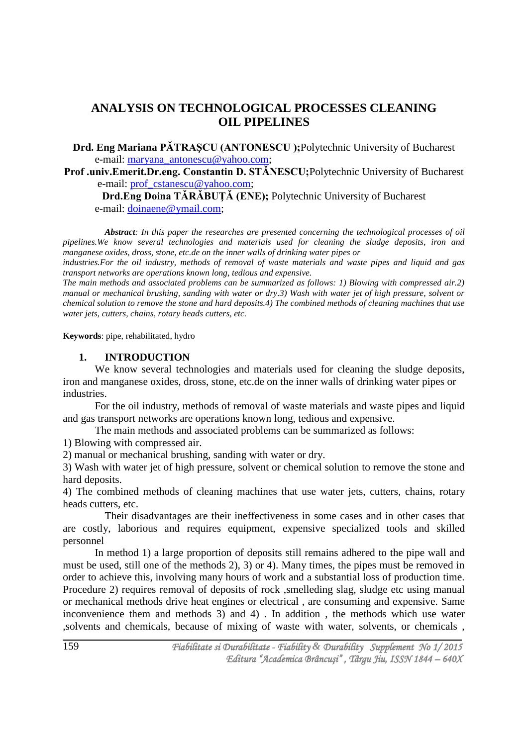# **ANALYSIS ON TECHNOLOGICAL PROCESSES CLEANING OIL PIPELINES**

**Drd. Eng Mariana PǍTRAŞCU (ANTONESCU );**Polytechnic University of Bucharest e-mail: [maryana\\_antonescu@yahoo.com;](mailto:maryana_antonescu@yahoo.com)

**Prof .univ.Emerit.Dr.eng. Constantin D. STǍNESCU;**Polytechnic University of Bucharest e-mail: [prof\\_cstanescu@yahoo.com;](mailto:prof_cstanescu@yahoo.com)

**Drd.Eng Doina TǍRǍBUŢǍ (ENE);** Polytechnic University of Bucharest e-mail: *doinaene@ymail.com*;

*Abstract: In this paper the researches are presented concerning the technological processes of oil pipelines.We know several technologies and materials used for cleaning the sludge deposits, iron and manganese oxides, dross, stone, etc.de on the inner walls of drinking water pipes or*

*industries.For the oil industry, methods of removal of waste materials and waste pipes and liquid and gas transport networks are operations known long, tedious and expensive.*

*The main methods and associated problems can be summarized as follows: 1) Blowing with compressed air.2) manual or mechanical brushing, sanding with water or dry.3) Wash with water jet of high pressure, solvent or chemical solution to remove the stone and hard deposits.4) The combined methods of cleaning machines that use water jets, cutters, chains, rotary heads cutters, etc.*

**Keywords**: pipe, rehabilitated, hydro

## **1. INTRODUCTION**

We know several technologies and materials used for cleaning the sludge deposits, iron and manganese oxides, dross, stone, etc.de on the inner walls of drinking water pipes or industries.

For the oil industry, methods of removal of waste materials and waste pipes and liquid and gas transport networks are operations known long, tedious and expensive.

The main methods and associated problems can be summarized as follows:

1) Blowing with compressed air.

2) manual or mechanical brushing, sanding with water or dry.

3) Wash with water jet of high pressure, solvent or chemical solution to remove the stone and hard deposits.

4) The combined methods of cleaning machines that use water jets, cutters, chains, rotary heads cutters, etc.

Their disadvantages are their ineffectiveness in some cases and in other cases that are costly, laborious and requires equipment, expensive specialized tools and skilled personnel

In method 1) a large proportion of deposits still remains adhered to the pipe wall and must be used, still one of the methods 2), 3) or 4). Many times, the pipes must be removed in order to achieve this, involving many hours of work and a substantial loss of production time. Procedure 2) requires removal of deposits of rock ,smelleding slag, sludge etc using manual or mechanical methods drive heat engines or electrical , are consuming and expensive. Same inconvenience them and methods 3) and 4) . In addition , the methods which use water ,solvents and chemicals, because of mixing of waste with water, solvents, or chemicals ,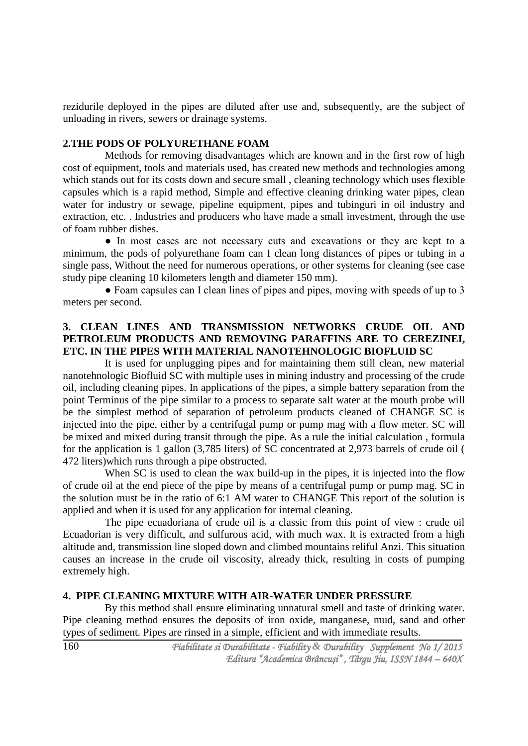rezidurile deployed in the pipes are diluted after use and, subsequently, are the subject of unloading in rivers, sewers or drainage systems.

#### **2.THE PODS OF POLYURETHANE FOAM**

Methods for removing disadvantages which are known and in the first row of high cost of equipment, tools and materials used, has created new methods and technologies among which stands out for its costs down and secure small , cleaning technology which uses flexible capsules which is a rapid method, Simple and effective cleaning drinking water pipes, clean water for industry or sewage, pipeline equipment, pipes and tubinguri in oil industry and extraction, etc. . Industries and producers who have made a small investment, through the use of foam rubber dishes.

● In most cases are not necessary cuts and excavations or they are kept to a minimum, the pods of polyurethane foam can I clean long distances of pipes or tubing in a single pass, Without the need for numerous operations, or other systems for cleaning (see case study pipe cleaning 10 kilometers length and diameter 150 mm).

• Foam capsules can I clean lines of pipes and pipes, moving with speeds of up to 3 meters per second.

## **3. CLEAN LINES AND TRANSMISSION NETWORKS CRUDE OIL AND PETROLEUM PRODUCTS AND REMOVING PARAFFINS ARE TO CEREZINEI, ETC. IN THE PIPES WITH MATERIAL NANOTEHNOLOGIC BIOFLUID SC**

It is used for unplugging pipes and for maintaining them still clean, new material nanotehnologic Biofluid SC with multiple uses in mining industry and processing of the crude oil, including cleaning pipes. In applications of the pipes, a simple battery separation from the point Terminus of the pipe similar to a process to separate salt water at the mouth probe will be the simplest method of separation of petroleum products cleaned of CHANGE SC is injected into the pipe, either by a centrifugal pump or pump mag with a flow meter. SC will be mixed and mixed during transit through the pipe. As a rule the initial calculation , formula for the application is 1 gallon (3,785 liters) of SC concentrated at 2,973 barrels of crude oil ( 472 liters)which runs through a pipe obstructed.

When SC is used to clean the wax build-up in the pipes, it is injected into the flow of crude oil at the end piece of the pipe by means of a centrifugal pump or pump mag. SC in the solution must be in the ratio of 6:1 AM water to CHANGE This report of the solution is applied and when it is used for any application for internal cleaning.

The pipe ecuadoriana of crude oil is a classic from this point of view : crude oil Ecuadorian is very difficult, and sulfurous acid, with much wax. It is extracted from a high altitude and, transmission line sloped down and climbed mountains reliful Anzi. This situation causes an increase in the crude oil viscosity, already thick, resulting in costs of pumping extremely high.

### **4. PIPE CLEANING MIXTURE WITH AIR-WATER UNDER PRESSURE**

By this method shall ensure eliminating unnatural smell and taste of drinking water. Pipe cleaning method ensures the deposits of iron oxide, manganese, mud, sand and other types of sediment. Pipes are rinsed in a simple, efficient and with immediate results.

*Fiabilitate si Durabilitate - Fiability & Durability Supplement No 1/ 2015 Editura "Academica Brâncuşi" , Târgu Jiu, ISSN 1844 – 640X*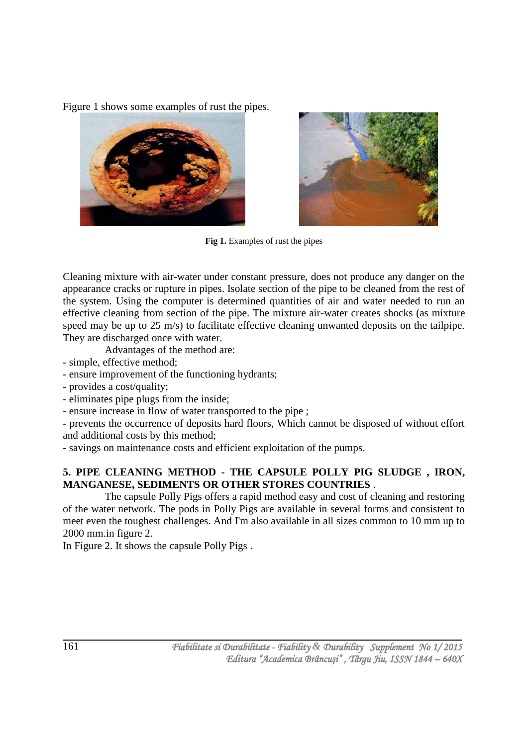Figure 1 shows some examples of rust the pipes.





Fig 1. Examples of rust the pipes

Cleaning mixture with air-water under constant pressure, does not produce any danger on the appearance cracks or rupture in pipes. Isolate section of the pipe to be cleaned from the rest of the system. Using the computer is determined quantities of air and water needed to run an effective cleaning from section of the pipe. The mixture air-water creates shocks (as mixture speed may be up to 25 m/s) to facilitate effective cleaning unwanted deposits on the tailpipe. They are discharged once with water.

Advantages of the method are:

- simple, effective method;
- ensure improvement of the functioning hydrants;
- provides a cost/quality;
- eliminates pipe plugs from the inside;
- ensure increase in flow of water transported to the pipe ;

- prevents the occurrence of deposits hard floors, Which cannot be disposed of without effort and additional costs by this method;

- savings on maintenance costs and efficient exploitation of the pumps.

# **5. PIPE CLEANING METHOD - THE CAPSULE POLLY PIG SLUDGE , IRON, MANGANESE, SEDIMENTS OR OTHER STORES COUNTRIES** .

The capsule Polly Pigs offers a rapid method easy and cost of cleaning and restoring of the water network. The pods in Polly Pigs are available in several forms and consistent to meet even the toughest challenges. And I'm also available in all sizes common to 10 mm up to 2000 mm.in figure 2.

In Figure 2. It shows the capsule Polly Pigs .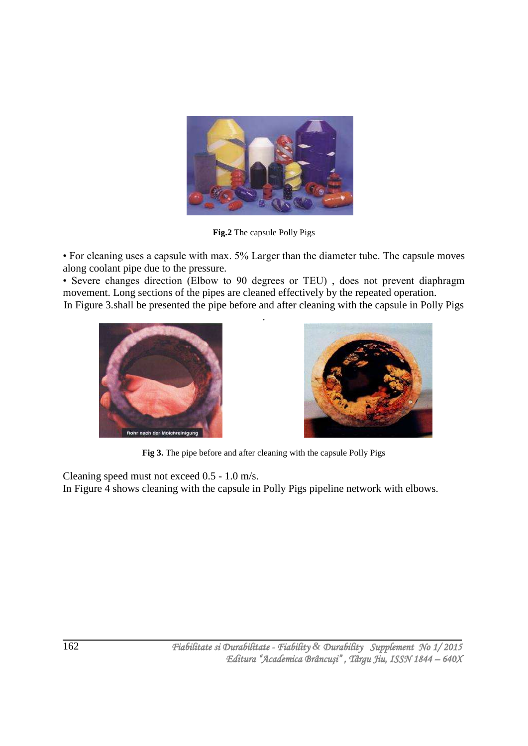

**Fig.2** The capsule Polly Pigs

• For cleaning uses a capsule with max. 5% Larger than the diameter tube. The capsule moves along coolant pipe due to the pressure.

• Severe changes direction (Elbow to 90 degrees or TEU) , does not prevent diaphragm movement. Long sections of the pipes are cleaned effectively by the repeated operation. In Figure 3.shall be presented the pipe before and after cleaning with the capsule in Polly Pigs

.





**Fig 3.** The pipe before and after cleaning with the capsule Polly Pigs

Cleaning speed must not exceed 0.5 - 1.0 m/s.

In Figure 4 shows cleaning with the capsule in Polly Pigs pipeline network with elbows.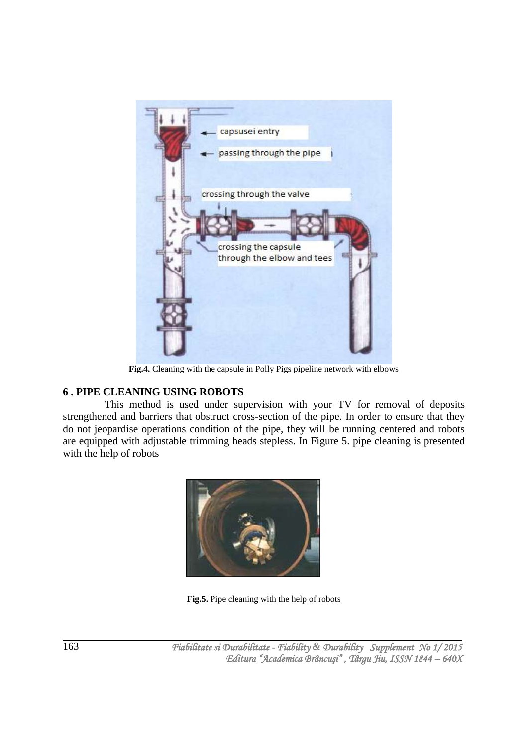

**Fig.4.** Cleaning with the capsule in Polly Pigs pipeline network with elbows

# **6 . PIPE CLEANING USING ROBOTS**

This method is used under supervision with your TV for removal of deposits strengthened and barriers that obstruct cross-section of the pipe. In order to ensure that they do not jeopardise operations condition of the pipe, they will be running centered and robots are equipped with adjustable trimming heads stepless. In Figure 5. pipe cleaning is presented with the help of robots



**Fig.5.** Pipe cleaning with the help of robots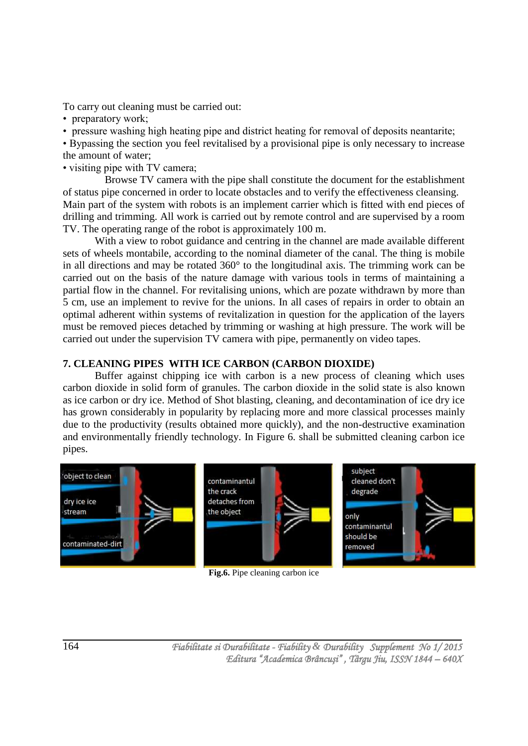To carry out cleaning must be carried out:

• preparatory work;

• pressure washing high heating pipe and district heating for removal of deposits neantarite;

• Bypassing the section you feel revitalised by a provisional pipe is only necessary to increase the amount of water;

• visiting pipe with TV camera;

Browse TV camera with the pipe shall constitute the document for the establishment of status pipe concerned in order to locate obstacles and to verify the effectiveness cleansing. Main part of the system with robots is an implement carrier which is fitted with end pieces of drilling and trimming. All work is carried out by remote control and are supervised by a room TV. The operating range of the robot is approximately 100 m.

With a view to robot guidance and centring in the channel are made available different sets of wheels montabile, according to the nominal diameter of the canal. The thing is mobile in all directions and may be rotated 360° to the longitudinal axis. The trimming work can be carried out on the basis of the nature damage with various tools in terms of maintaining a partial flow in the channel. For revitalising unions, which are pozate withdrawn by more than 5 cm, use an implement to revive for the unions. In all cases of repairs in order to obtain an optimal adherent within systems of revitalization in question for the application of the layers must be removed pieces detached by trimming or washing at high pressure. The work will be carried out under the supervision TV camera with pipe, permanently on video tapes.

# **7. CLEANING PIPES WITH ICE CARBON (CARBON DIOXIDE)**

Buffer against chipping ice with carbon is a new process of cleaning which uses carbon dioxide in solid form of granules. The carbon dioxide in the solid state is also known as ice carbon or dry ice. Method of Shot blasting, cleaning, and decontamination of ice dry ice has grown considerably in popularity by replacing more and more classical processes mainly due to the productivity (results obtained more quickly), and the non-destructive examination and environmentally friendly technology. In Figure 6. shall be submitted cleaning carbon ice pipes.



**Fig.6.** Pipe cleaning carbon ice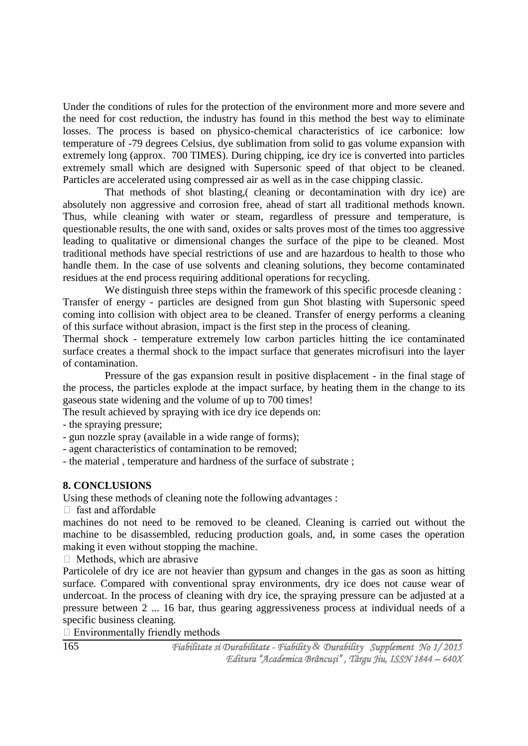Under the conditions of rules for the protection of the environment more and more severe and the need for cost reduction, the industry has found in this method the best way to eliminate losses. The process is based on physico-chemical characteristics of ice carbonice: low temperature of -79 degrees Celsius, dye sublimation from solid to gas volume expansion with extremely long (approx. 700 TIMES). During chipping, ice dry ice is converted into particles extremely small which are designed with Supersonic speed of that object to be cleaned. Particles are accelerated using compressed air as well as in the case chipping classic.

That methods of shot blasting,( cleaning or decontamination with dry ice) are absolutely non aggressive and corrosion free, ahead of start all traditional methods known. Thus, while cleaning with water or steam, regardless of pressure and temperature, is questionable results, the one with sand, oxides or salts proves most of the times too aggressive leading to qualitative or dimensional changes the surface of the pipe to be cleaned. Most traditional methods have special restrictions of use and are hazardous to health to those who handle them. In the case of use solvents and cleaning solutions, they become contaminated residues at the end process requiring additional operations for recycling.

We distinguish three steps within the framework of this specific procesde cleaning : Transfer of energy - particles are designed from gun Shot blasting with Supersonic speed coming into collision with object area to be cleaned. Transfer of energy performs a cleaning of this surface without abrasion, impact is the first step in the process of cleaning.

Thermal shock - temperature extremely low carbon particles hitting the ice contaminated surface creates a thermal shock to the impact surface that generates microfisuri into the layer of contamination.

Pressure of the gas expansion result in positive displacement - in the final stage of the process, the particles explode at the impact surface, by heating them in the change to its gaseous state widening and the volume of up to 700 times!

The result achieved by spraying with ice dry ice depends on:

- the spraying pressure;

- gun nozzle spray (available in a wide range of forms);

- agent characteristics of contamination to be removed;

- the material , temperature and hardness of the surface of substrate ;

## **8. CONCLUSIONS**

Using these methods of cleaning note the following advantages :

 $\Box$  fast and affordable

machines do not need to be removed to be cleaned. Cleaning is carried out without the machine to be disassembled, reducing production goals, and, in some cases the operation making it even without stopping the machine.

 $\Box$  Methods, which are abrasive

Particolele of dry ice are not heavier than gypsum and changes in the gas as soon as hitting surface. Compared with conventional spray environments, dry ice does not cause wear of undercoat. In the process of cleaning with dry ice, the spraying pressure can be adjusted at a pressure between 2 ... 16 bar, thus gearing aggressiveness process at individual needs of a specific business cleaning.

 $\Box$  Environmentally friendly methods

165

 *Fiabilitate si Durabilitate - Fiability & Durability Supplement No 1/ 2015 Editura "Academica Brâncuşi" , Târgu Jiu, ISSN 1844 – 640X*